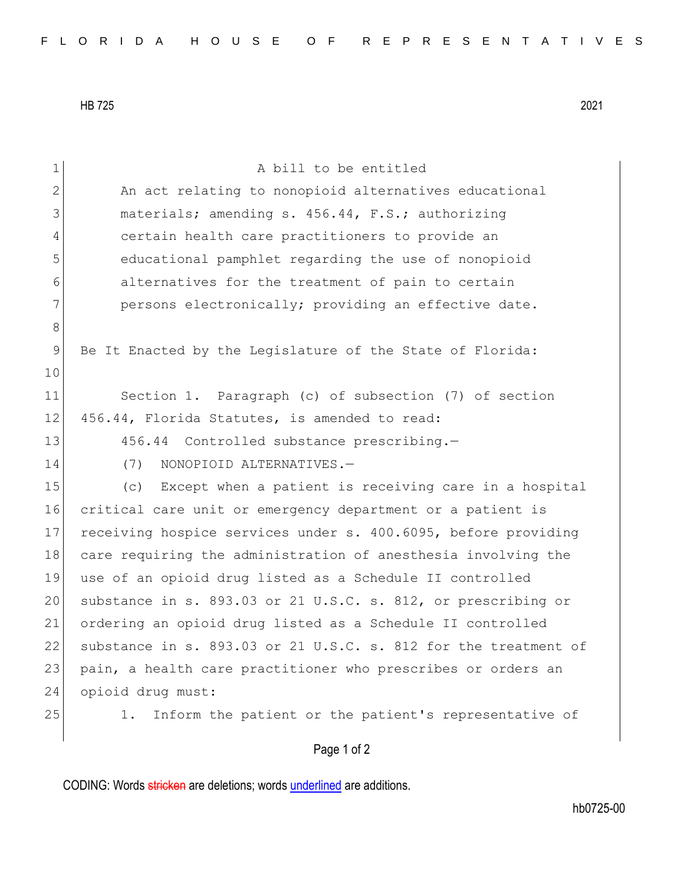HB 725 2021

| $\mathbf 1$  | A bill to be entitled                                           |
|--------------|-----------------------------------------------------------------|
| $\mathbf{2}$ | An act relating to nonopioid alternatives educational           |
| 3            | materials; amending s. 456.44, F.S.; authorizing                |
| 4            | certain health care practitioners to provide an                 |
| 5            | educational pamphlet regarding the use of nonopioid             |
| 6            | alternatives for the treatment of pain to certain               |
| 7            | persons electronically; providing an effective date.            |
| 8            |                                                                 |
| 9            | Be It Enacted by the Legislature of the State of Florida:       |
| 10           |                                                                 |
| 11           | Section 1. Paragraph (c) of subsection (7) of section           |
| 12           | 456.44, Florida Statutes, is amended to read:                   |
| 13           | 456.44 Controlled substance prescribing.-                       |
| 14           | (7)<br>NONOPIOID ALTERNATIVES.-                                 |
| 15           | (c) Except when a patient is receiving care in a hospital       |
| 16           | critical care unit or emergency department or a patient is      |
| 17           | receiving hospice services under s. 400.6095, before providing  |
| 18           | care requiring the administration of anesthesia involving the   |
| 19           | use of an opioid drug listed as a Schedule II controlled        |
| 20           | substance in s. 893.03 or 21 U.S.C. s. 812, or prescribing or   |
| 21           | ordering an opioid drug listed as a Schedule II controlled      |
| 22           | substance in s. 893.03 or 21 U.S.C. s. 812 for the treatment of |
| 23           | pain, a health care practitioner who prescribes or orders an    |
| 24           | opioid drug must:                                               |
| 25           | Inform the patient or the patient's representative of<br>1.     |
|              | Page 1 of 2                                                     |

CODING: Words stricken are deletions; words underlined are additions.